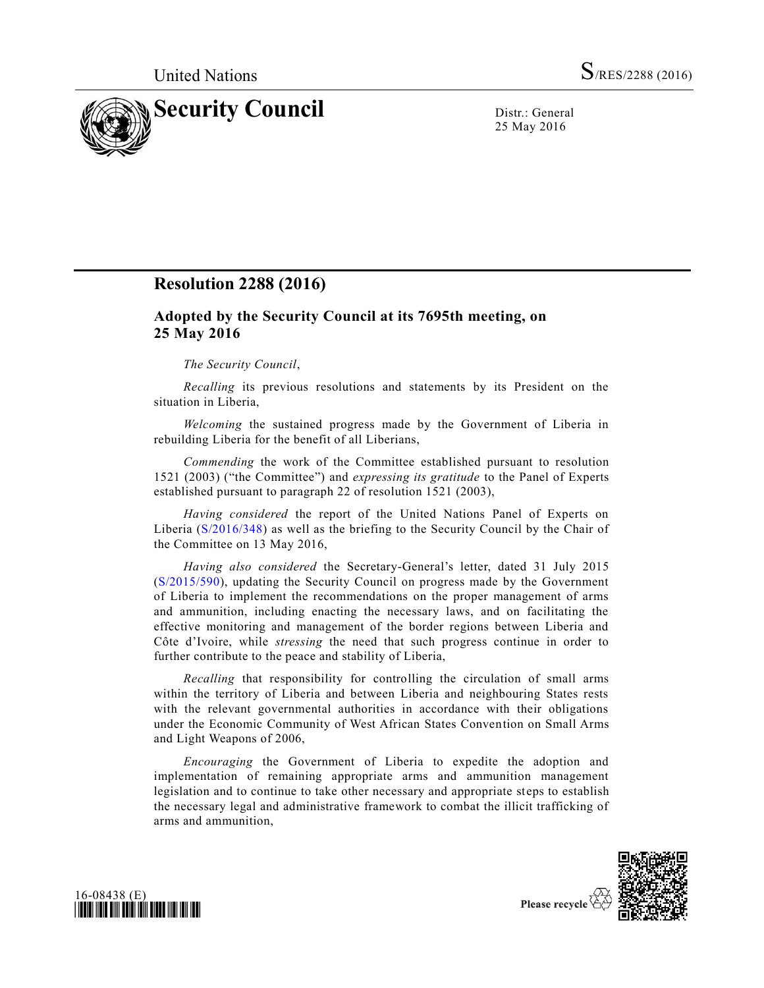

25 May 2016

## **Resolution 2288 (2016)**

## **Adopted by the Security Council at its 7695th meeting, on 25 May 2016**

## *The Security Council*,

*Recalling* its previous resolutions and statements by its President on the situation in Liberia,

*Welcoming* the sustained progress made by the Government of Liberia in rebuilding Liberia for the benefit of all Liberians,

*Commending* the work of the Committee established pursuant to resolution 1521 (2003) ("the Committee") and *expressing its gratitude* to the Panel of Experts established pursuant to paragraph 22 of resolution 1521 (2003),

*Having considered* the report of the United Nations Panel of Experts on Liberia [\(S/2016/348\)](http://undocs.org/S/2016/348) as well as the briefing to the Security Council by the Chair of the Committee on 13 May 2016,

*Having also considered* the Secretary-General's letter, dated 31 July 2015 [\(S/2015/590\)](http://undocs.org/S/2015/590), updating the Security Council on progress made by the Government of Liberia to implement the recommendations on the proper management of arms and ammunition, including enacting the necessary laws, and on facilitating the effective monitoring and management of the border regions between Liberia and Côte d'Ivoire, while *stressing* the need that such progress continue in order to further contribute to the peace and stability of Liberia,

*Recalling* that responsibility for controlling the circulation of small arms within the territory of Liberia and between Liberia and neighbouring States rests with the relevant governmental authorities in accordance with their obligations under the Economic Community of West African States Convention on Small Arms and Light Weapons of 2006,

*Encouraging* the Government of Liberia to expedite the adoption and implementation of remaining appropriate arms and ammunition management legislation and to continue to take other necessary and appropriate steps to establish the necessary legal and administrative framework to combat the illicit trafficking of arms and ammunition,





Please recycle